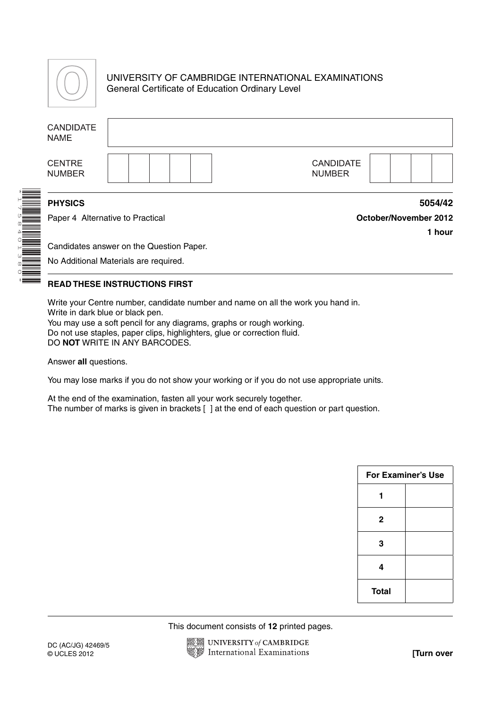

\*1758401380\*

## UNIVERSITY OF CAMBRIDGE INTERNATIONAL EXAMINATIONS General Certificate of Education Ordinary Level

|                       | <b>CANDIDATE</b><br><b>NAME</b>                    |                                                                                   |                                            |  |
|-----------------------|----------------------------------------------------|-----------------------------------------------------------------------------------|--------------------------------------------|--|
|                       | <b>CENTRE</b><br><b>NUMBER</b>                     |                                                                                   | <b>CANDIDATE</b><br><b>NUMBER</b>          |  |
| <b>ENTERNATIONAL</b>  | <b>PHYSICS</b><br>Paper 4 Alternative to Practical |                                                                                   | 5054/42<br>October/November 2012<br>1 hour |  |
| <b>ALLES AN ALLES</b> |                                                    | Candidates answer on the Question Paper.<br>No Additional Materials are required. |                                            |  |

## **READ THESE INSTRUCTIONS FIRST**

Write your Centre number, candidate number and name on all the work you hand in. Write in dark blue or black pen. You may use a soft pencil for any diagrams, graphs or rough working. Do not use staples, paper clips, highlighters, glue or correction fluid. DO **NOT** WRITE IN ANY BARCODES.

Answer **all** questions.

You may lose marks if you do not show your working or if you do not use appropriate units.

At the end of the examination, fasten all your work securely together. The number of marks is given in brackets [ ] at the end of each question or part question.

| <b>For Examiner's Use</b> |  |
|---------------------------|--|
|                           |  |
| $\mathbf{2}$              |  |
| 3                         |  |
| 4                         |  |
| <b>Total</b>              |  |

This document consists of **12** printed pages.

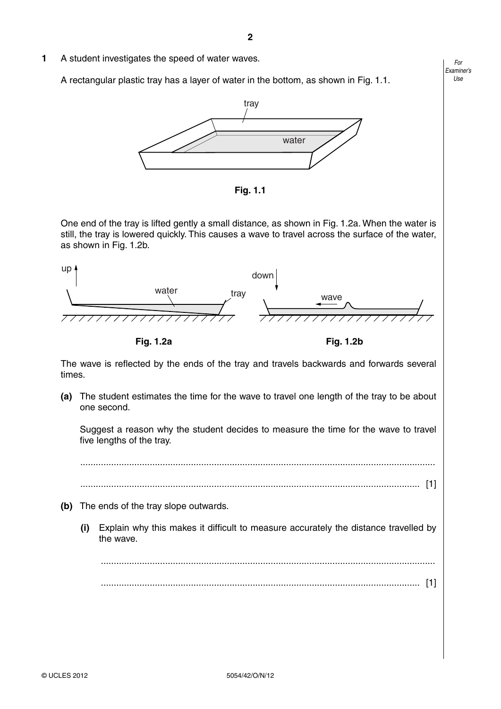**1** A student investigates the speed of water waves.

A rectangular plastic tray has a layer of water in the bottom, as shown in Fig. 1.1.



 **Fig. 1.1**

One end of the tray is lifted gently a small distance, as shown in Fig. 1.2a. When the water is still, the tray is lowered quickly. This causes a wave to travel across the surface of the water, as shown in Fig. 1.2b.



The wave is reflected by the ends of the tray and travels backwards and forwards several times.

 **(a)** The student estimates the time for the wave to travel one length of the tray to be about one second.

Suggest a reason why the student decides to measure the time for the wave to travel five lengths of the tray.

..........................................................................................................................................

.................................................................................................................................... [1]

- **(b)** The ends of the tray slope outwards.
	- **(i)** Explain why this makes it difficult to measure accurately the distance travelled by the wave.

 .................................................................................................................................. ............................................................................................................................ [1]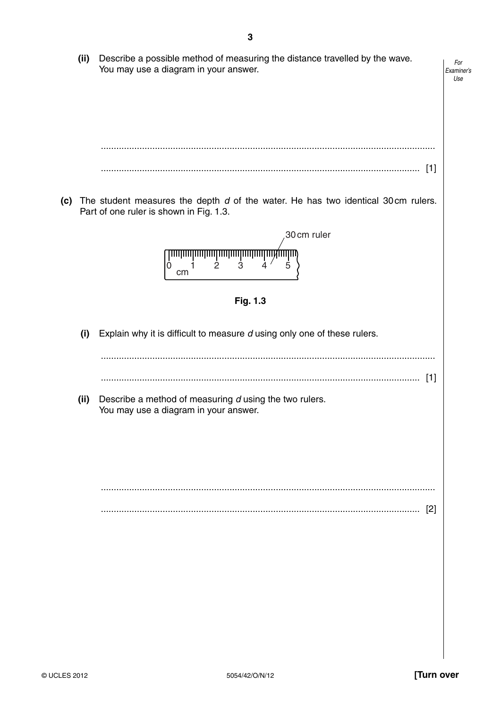**(ii)** Describe a possible method of measuring the distance travelled by the wave. *For* You may use a diagram in your answer. *Examiner's Use* .................................................................................................................................. ............................................................................................................................ [1]  **(c)** The student measures the depth *d* of the water. He has two identical 30 cm rulers. Part of one ruler is shown in Fig. 1.3. 30cm ruler <u>mmmmmmmmmmmmmmmmm</u>  $0 \n cm<sup>1</sup>$ 2  $3$   $4'$  5  **Fig. 1.3 (i)** Explain why it is difficult to measure *d* using only one of these rulers. .................................................................................................................................. ............................................................................................................................ [1]  **(ii)** Describe a method of measuring *d* using the two rulers. You may use a diagram in your answer. .................................................................................................................................. ............................................................................................................................ [2]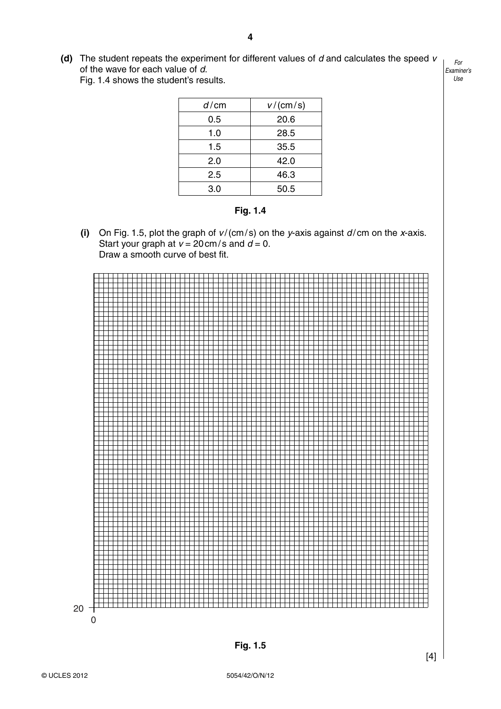**(d)** The student repeats the experiment for different values of *d* and calculates the speed *v* of the wave for each value of *d*. Fig. 1.4 shows the student's results.

| d/cm | v/(cm/s) |
|------|----------|
| 0.5  | 20.6     |
| 1.0  | 28.5     |
| 1.5  | 35.5     |
| 2.0  | 42.0     |
| 2.5  | 46.3     |
| 3.0  | 50.5     |

 **Fig. 1.4**

 **(i)** On Fig. 1.5, plot the graph of *v* / (cm / s) on the *y*-axis against *d* / cm on the *x*-axis. Start your graph at  $v = 20 \text{ cm/s}$  and  $d = 0$ . Draw a smooth curve of best fit.

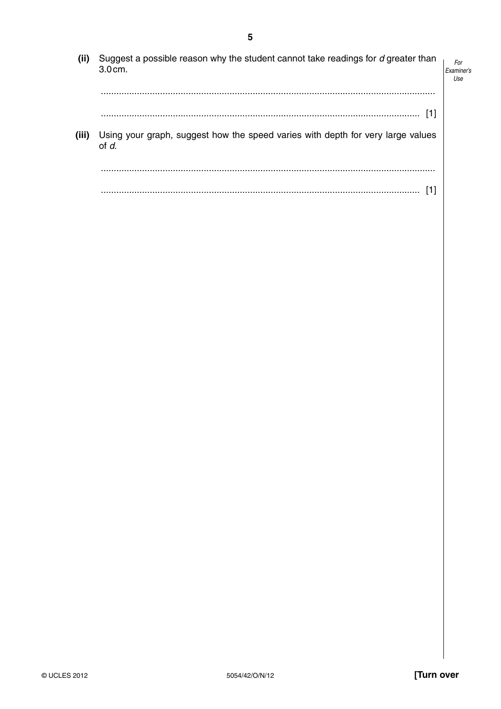| (ii)  | Suggest a possible reason why the student cannot take readings for d greater than<br>$3.0cm$ . | For<br>Examiner's<br>Use |
|-------|------------------------------------------------------------------------------------------------|--------------------------|
|       |                                                                                                |                          |
| (iii) | Using your graph, suggest how the speed varies with depth for very large values<br>of d.       |                          |
|       |                                                                                                |                          |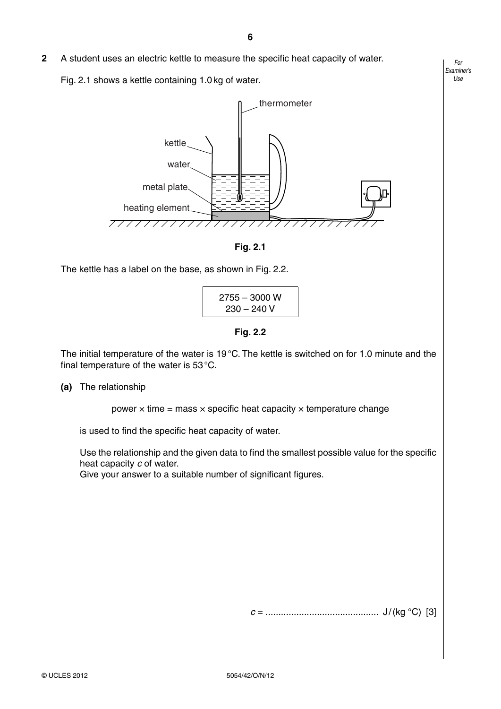Fig. 2.1 shows a kettle containing 1.0 kg of water.



 **Fig. 2.1** 

The kettle has a label on the base, as shown in Fig. 2.2.

$$
\begin{array}{c} 2755 - 3000 \text{ W} \\ 230 - 240 \text{ V} \end{array}
$$

 **Fig. 2.2** 

The initial temperature of the water is 19 °C. The kettle is switched on for 1.0 minute and the final temperature of the water is 53 °C.

## **(a)** The relationship

power  $\times$  time = mass  $\times$  specific heat capacity  $\times$  temperature change

is used to find the specific heat capacity of water.

Use the relationship and the given data to find the smallest possible value for the specific heat capacity *c* of water.

Give your answer to a suitable number of significant figures.

*c* = ............................................ J / (kg °C) [3]

**6**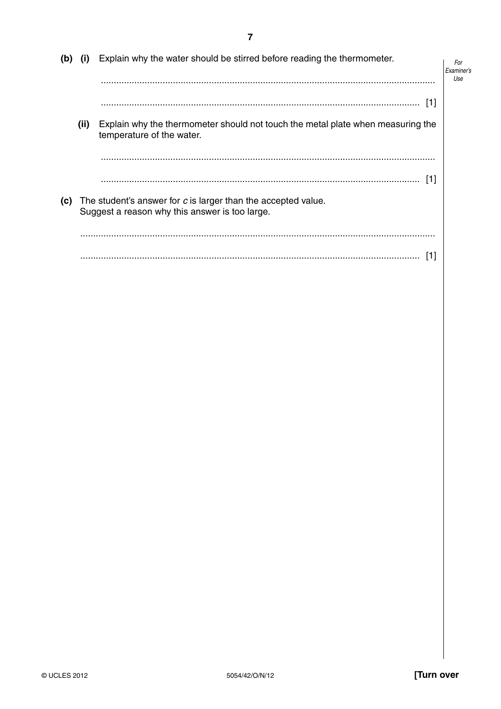| (i) | Explain why the water should be stirred before reading the thermometer.                                      | For<br><i><b>Fxaminer's</b></i><br>Use                                                                          |
|-----|--------------------------------------------------------------------------------------------------------------|-----------------------------------------------------------------------------------------------------------------|
|     | 1                                                                                                            |                                                                                                                 |
|     | Explain why the thermometer should not touch the metal plate when measuring the<br>temperature of the water. |                                                                                                                 |
|     |                                                                                                              |                                                                                                                 |
|     |                                                                                                              |                                                                                                                 |
|     |                                                                                                              |                                                                                                                 |
|     | (ii)                                                                                                         | The student's answer for c is larger than the accepted value.<br>Suggest a reason why this answer is too large. |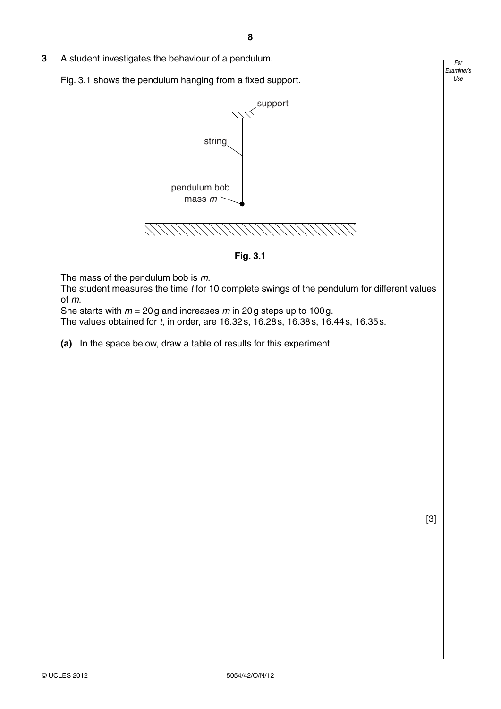**3** A student investigates the behaviour of a pendulum.

Fig. 3.1 shows the pendulum hanging from a fixed support.



 **Fig. 3.1**

The mass of the pendulum bob is *m*.

The student measures the time *t* for 10 complete swings of the pendulum for different values of *m*.

She starts with *m* = 20 g and increases *m* in 20 g steps up to 100 g.

The values obtained for *t*, in order, are 16.32 s, 16.28 s, 16.38 s, 16.44 s, 16.35 s.

 **(a)** In the space below, draw a table of results for this experiment.

[3]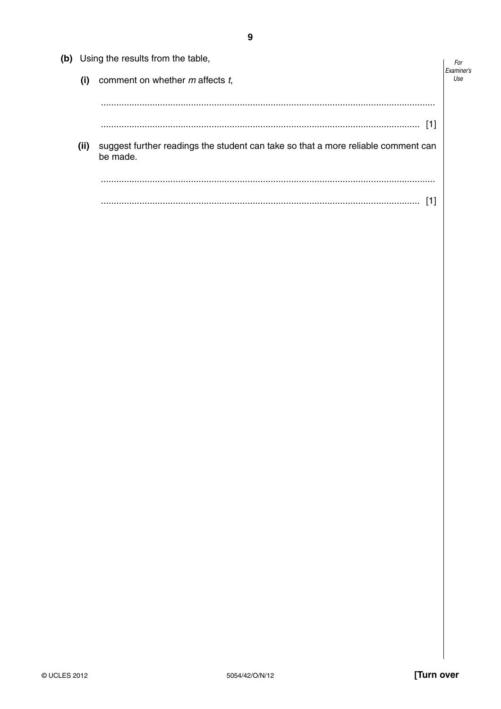| (b) | Using the results from the table, |                                                                                               |     |
|-----|-----------------------------------|-----------------------------------------------------------------------------------------------|-----|
|     | (i)                               | comment on whether m affects t,                                                               | Use |
|     |                                   |                                                                                               |     |
|     |                                   |                                                                                               |     |
|     | (ii)                              | suggest further readings the student can take so that a more reliable comment can<br>be made. |     |
|     |                                   |                                                                                               |     |
|     |                                   |                                                                                               |     |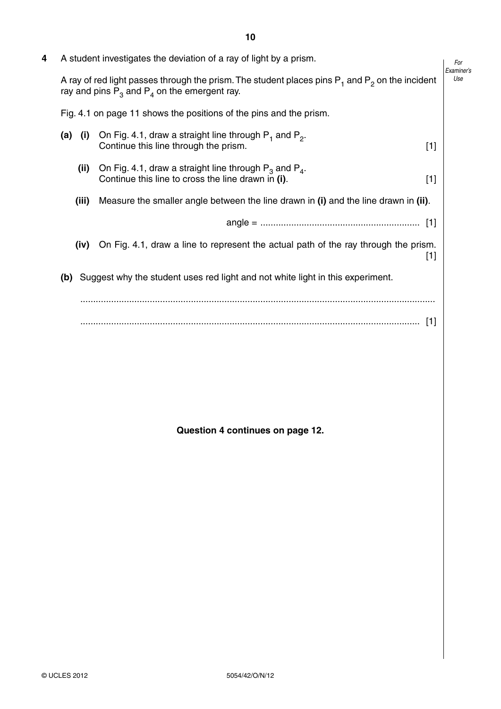| 4 | A student investigates the deviation of a ray of light by a prism.<br>A ray of red light passes through the prism. The student places pins $P_1$ and $P_2$ on the incident<br>ray and pins $P_3$ and $P_4$ on the emergent ray. |                                                                                                                            |  |
|---|---------------------------------------------------------------------------------------------------------------------------------------------------------------------------------------------------------------------------------|----------------------------------------------------------------------------------------------------------------------------|--|
|   |                                                                                                                                                                                                                                 |                                                                                                                            |  |
|   |                                                                                                                                                                                                                                 | Fig. 4.1 on page 11 shows the positions of the pins and the prism.                                                         |  |
|   | $(a)$ (i)                                                                                                                                                                                                                       | On Fig. 4.1, draw a straight line through $P_1$ and $P_2$ .<br>Continue this line through the prism.<br>$[1]$              |  |
|   | (ii)                                                                                                                                                                                                                            | On Fig. 4.1, draw a straight line through $P_3$ and $P_4$ .<br>Continue this line to cross the line drawn in (i).<br>$[1]$ |  |
|   | (iii)                                                                                                                                                                                                                           | Measure the smaller angle between the line drawn in (i) and the line drawn in (ii).                                        |  |
|   |                                                                                                                                                                                                                                 |                                                                                                                            |  |
|   | (iv)                                                                                                                                                                                                                            | On Fig. 4.1, draw a line to represent the actual path of the ray through the prism.<br>$[1]$                               |  |
|   | (b)                                                                                                                                                                                                                             | Suggest why the student uses red light and not white light in this experiment.                                             |  |
|   |                                                                                                                                                                                                                                 |                                                                                                                            |  |
|   |                                                                                                                                                                                                                                 |                                                                                                                            |  |

 **Question 4 continues on page 12.**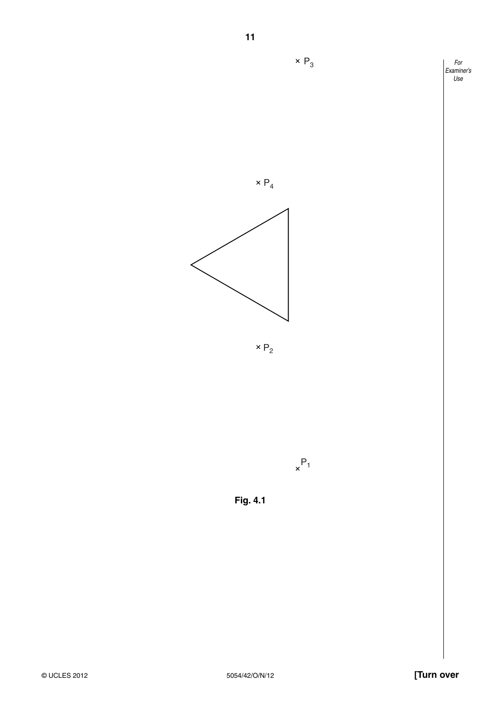